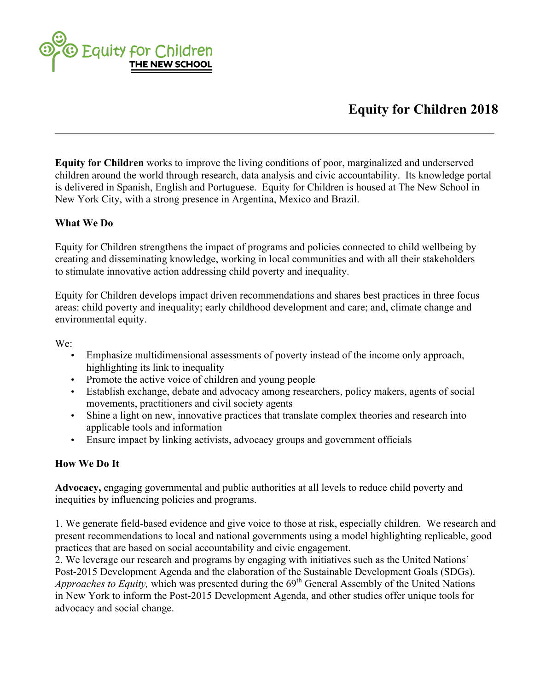

## **Equity for Children 2018**

**Equity for Children** works to improve the living conditions of poor, marginalized and underserved children around the world through research, data analysis and civic accountability. Its knowledge portal is delivered in Spanish, English and Portuguese. Equity for Children is housed at The New School in New York City, with a strong presence in Argentina, Mexico and Brazil.

## **What We Do**

Equity for Children strengthens the impact of programs and policies connected to child wellbeing by creating and disseminating knowledge, working in local communities and with all their stakeholders to stimulate innovative action addressing child poverty and inequality.

Equity for Children develops impact driven recommendations and shares best practices in three focus areas: child poverty and inequality; early childhood development and care; and, climate change and environmental equity.

We:

- Emphasize multidimensional assessments of poverty instead of the income only approach, highlighting its link to inequality
- Promote the active voice of children and young people
- Establish exchange, debate and advocacy among researchers, policy makers, agents of social movements, practitioners and civil society agents
- Shine a light on new, innovative practices that translate complex theories and research into applicable tools and information
- Ensure impact by linking activists, advocacy groups and government officials

## **How We Do It**

**Advocacy,** engaging governmental and public authorities at all levels to reduce child poverty and inequities by influencing policies and programs.

1. We generate field-based evidence and give voice to those at risk, especially children. We research and present recommendations to local and national governments using a model highlighting replicable, good practices that are based on social accountability and civic engagement.

2. We leverage our research and programs by engaging with initiatives such as the United Nations' Post-2015 Development Agenda and the elaboration of the Sustainable Development Goals (SDGs). *Approaches to Equity, which was presented during the 69<sup>th</sup> General Assembly of the United Nations* in New York to inform the Post-2015 Development Agenda, and other studies offer unique tools for advocacy and social change.